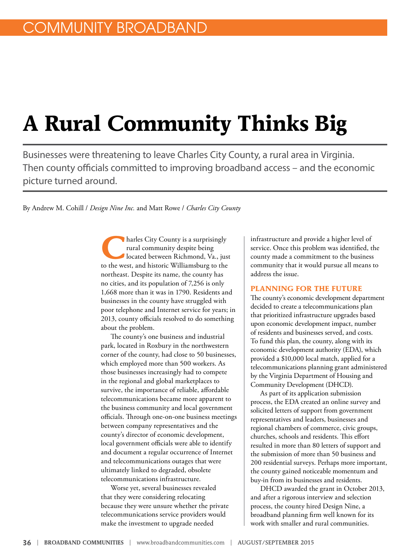# **A Rural Community Thinks Big**

Businesses were threatening to leave Charles City County, a rural area in Virginia. Then county officials committed to improving broadband access – and the economic picture turned around.

By Andrew M. Cohill / *Design Nine Inc.* and Matt Rowe / *Charles City County*

**harles City County is a surprisingly** rural community despite being located between Richmond, Va., just to the west, and historic Williamsburg to the northeast. Despite its name, the county has no cities, and its population of 7,256 is only 1,668 more than it was in 1790. Residents and businesses in the county have struggled with poor telephone and Internet service for years; in 2013, county officials resolved to do something about the problem.

The county's one business and industrial park, located in Roxbury in the northwestern corner of the county, had close to 50 businesses, which employed more than 500 workers. As those businesses increasingly had to compete in the regional and global marketplaces to survive, the importance of reliable, affordable telecommunications became more apparent to the business community and local government officials. Through one-on-one business meetings between company representatives and the county's director of economic development, local government officials were able to identify and document a regular occurrence of Internet and telecommunications outages that were ultimately linked to degraded, obsolete telecommunications infrastructure.

Worse yet, several businesses revealed that they were considering relocating because they were unsure whether the private telecommunications service providers would make the investment to upgrade needed

infrastructure and provide a higher level of service. Once this problem was identified, the county made a commitment to the business community that it would pursue all means to address the issue.

#### **PLANNING FOR THE FUTURE**

The county's economic development department decided to create a telecommunications plan that prioritized infrastructure upgrades based upon economic development impact, number of residents and businesses served, and costs. To fund this plan, the county, along with its economic development authority (EDA), which provided a \$10,000 local match, applied for a telecommunications planning grant administered by the Virginia Department of Housing and Community Development (DHCD).

As part of its application submission process, the EDA created an online survey and solicited letters of support from government representatives and leaders, businesses and regional chambers of commerce, civic groups, churches, schools and residents. This effort resulted in more than 80 letters of support and the submission of more than 50 business and 200 residential surveys. Perhaps more important, the county gained noticeable momentum and buy-in from its businesses and residents.

DHCD awarded the grant in October 2013, and after a rigorous interview and selection process, the county hired Design Nine, a broadband planning firm well known for its work with smaller and rural communities.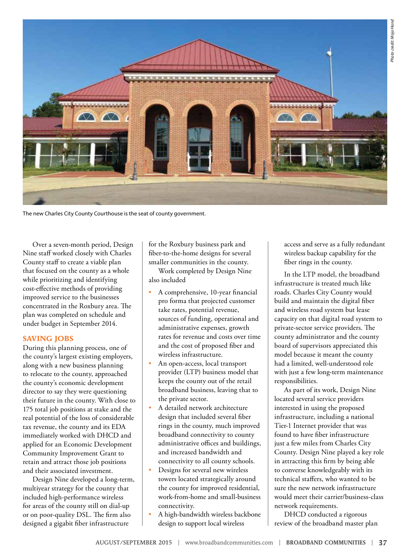

The new Charles City County Courthouse is the seat of county government.

Over a seven-month period, Design Nine staff worked closely with Charles County staff to create a viable plan that focused on the county as a whole while prioritizing and identifying cost-effective methods of providing improved service to the businesses concentrated in the Roxbury area. The plan was completed on schedule and under budget in September 2014.

### **SAVING JOBS**

During this planning process, one of the county's largest existing employers, along with a new business planning to relocate to the county, approached the county's economic development director to say they were questioning their future in the county. With close to 175 total job positions at stake and the real potential of the loss of considerable tax revenue, the county and its EDA immediately worked with DHCD and applied for an Economic Development Community Improvement Grant to retain and attract those job positions and their associated investment.

Design Nine developed a long-term, multiyear strategy for the county that included high-performance wireless for areas of the county still on dial-up or on poor-quality DSL. The firm also designed a gigabit fiber infrastructure

for the Roxbury business park and fiber-to-the-home designs for several smaller communities in the county.

Work completed by Design Nine also included

- A comprehensive, 10-year financial pro forma that projected customer take rates, potential revenue, sources of funding, operational and administrative expenses, growth rates for revenue and costs over time and the cost of proposed fiber and wireless infrastructure.
- An open-access, local transport provider (LTP) business model that keeps the county out of the retail broadband business, leaving that to the private sector.
- A detailed network architecture design that included several fiber rings in the county, much improved broadband connectivity to county administrative offices and buildings, and increased bandwidth and connectivity to all county schools.
- Designs for several new wireless towers located strategically around the county for improved residential, work-from-home and small-business connectivity.
- A high-bandwidth wireless backbone design to support local wireless

access and serve as a fully redundant wireless backup capability for the fiber rings in the county.

In the LTP model, the broadband infrastructure is treated much like roads. Charles City County would build and maintain the digital fiber and wireless road system but lease capacity on that digital road system to private-sector service providers. The county administrator and the county board of supervisors appreciated this model because it meant the county had a limited, well-understood role with just a few long-term maintenance responsibilities.

As part of its work, Design Nine located several service providers interested in using the proposed infrastructure, including a national Tier-1 Internet provider that was found to have fiber infrastructure just a few miles from Charles City County. Design Nine played a key role in attracting this firm by being able to converse knowledgeably with its technical staffers, who wanted to be sure the new network infrastructure would meet their carrier/business-class network requirements.

DHCD conducted a rigorous review of the broadband master plan